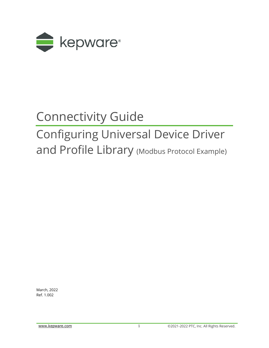

# Connectivity Guide

# Configuring Universal Device Driver and Profile Library (Modbus Protocol Example)

March, 2022 Ref. 1.002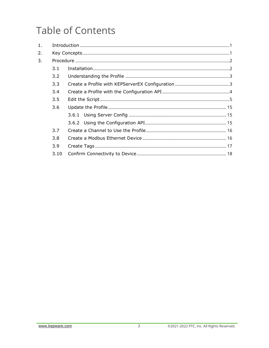## **Table of Contents**

| 1. |      |  |
|----|------|--|
| 2. |      |  |
| 3. |      |  |
|    | 3.1  |  |
|    | 3.2  |  |
|    | 3.3  |  |
|    | 3.4  |  |
|    | 3.5  |  |
|    | 3.6  |  |
|    |      |  |
|    |      |  |
|    | 3.7  |  |
|    | 3.8  |  |
|    | 3.9  |  |
|    | 3.10 |  |
|    |      |  |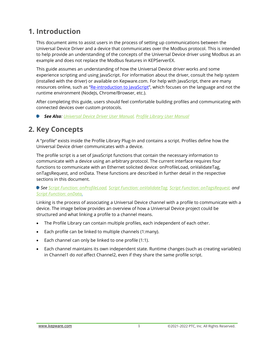## <span id="page-2-0"></span>**1. Introduction**

This document aims to assist users in the process of setting up communications between the Universal Device Driver and a device that communicates over the Modbus protocol. This is intended to help provide an understanding of the concepts of the Universal Device driver using Modbus as an example and does not replace the Modbus features in KEPServerEX.

This guide assumes an understanding of how the Universal Device driver works and some experience scripting and using JavaScript. For information about the driver, consult the help system (installed with the driver) or available on Kepware.com. For help with JavaScript, there are many resources online, such as "[Re-introduction to JavaScript](https://developer.mozilla.org/en-US/docs/Web/JavaScript/A_re-introduction_to_JavaScript)", which focuses on the language and not the runtime environment (NodeJs, Chrome/Browser, etc.).

After completing this guide, users should feel comfortable building profiles and communicating with connected devices over custom protocols.

*See Also: [Universal Device Driver User Manual,](https://www.kepware.com/getattachment/63935802-af9a-4732-800a-815ce460f488/universal-driver-manual.pdf) [Profile Library User Manual](https://www.kepware.com/getattachment/4f6e5e49-dc78-4713-b2e4-444832c2e081/profile-library-manual.pdf)* ۰

## <span id="page-2-1"></span>**2. Key Concepts**

A "profile" exists inside the Profile Library Plug-In and contains a script. Profiles define how the Universal Device driver communicates with a device.

The profile script is a set of JavaScript functions that contain the necessary information to communicate with a device using an arbitrary protocol. The current interface requires four functions to communicate with an Ethernet solicited device: onProfileLoad, onValidateTag, onTagsRequest, and onData. These functions are described in further detail in the respective sections in this document.

*See Script Function: onProfileLoad, Script Function: onValidateTag, Script Function: onTagsRequest, and Script Function: onData.*

Linking is the process of associating a Universal Device channel with a profile to communicate with a device. The image below provides an overview of how a Universal Device project could be structured and what linking a profile to a channel means.

- The Profile Library can contain multiple profiles, each independent of each other.
- Each profile can be linked to multiple channels (1:many).
- Each channel can only be linked to one profile (1:1).
- Each channel maintains its own independent state. Runtime changes (such as creating variables) in Channel1 do *not* affect Channel2, even if they share the same profile script.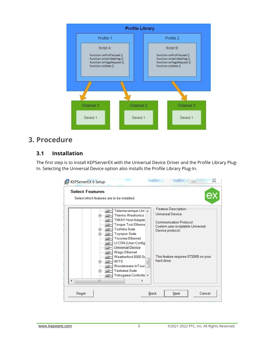

## <span id="page-3-0"></span>**3. Procedure**

## <span id="page-3-1"></span>**3.1 Installation**

The first step is to install KEPServerEX with the Universal Device Driver and the Profile Library Plug-In. Selecting the Universal Device option also installs the Profile Library Plug-In.

| KEPServerEX 6 Setup<br><b>Select Features</b> | Select which features are to be installed.                                                                                                                                                                                                                                                                                                                                                                    | Ж                                                                                                                                                                                               |
|-----------------------------------------------|---------------------------------------------------------------------------------------------------------------------------------------------------------------------------------------------------------------------------------------------------------------------------------------------------------------------------------------------------------------------------------------------------------------|-------------------------------------------------------------------------------------------------------------------------------------------------------------------------------------------------|
|                                               | Telemecanique Uni- A<br>Thermo Westronics<br>⊞……'⊜<br><b>TIWAY Host Adapte</b><br><b>Torque Tool Etherne</b><br><b>Toshiba Suite</b><br><b>Toyopuc Suite</b><br>⊞……⊟<br><b>Triconex Ethernet</b><br>U-CON (User-Config<br>Universal Device<br>⊒⊩≁<br>Wago Ethernet<br>Weatherford 8500 Se<br><b>WITS</b><br>⊞……⊜<br>Wonderware InTouc<br>Yaskawa Suite<br>A—⊜•<br>{ <mark> - Yokogawa Controlle</mark> च<br>Ш | <b>Feature Description</b><br><b>Universal Device</b><br>Communication Protocol:<br>Custom user scriptable Universal<br>Device protocol.<br>This feature requires 8732KB on your<br>hard drive. |
| Reset                                         | <b>Back</b>                                                                                                                                                                                                                                                                                                                                                                                                   | Cancel<br>Next                                                                                                                                                                                  |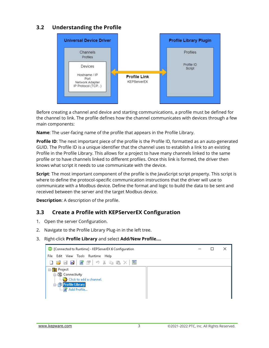## <span id="page-4-0"></span>**3.2 Understanding the Profile**



Before creating a channel and device and starting communications, a profile must be defined for the channel to link. The profile defines how the channel communicates with devices through a few main components:

**Name**: The user-facing name of the profile that appears in the Profile Library.

**Profile ID:** The next important piece of the profile is the Profile ID, formatted as an auto-generated GUID. The Profile ID is a unique identifier that the channel uses to establish a link to an existing Profile in the Profile Library. This allows for a project to have many channels linked to the same profile or to have channels linked to different profiles. Once this link is formed, the driver then knows what script it needs to use communicate with the device.

**Script**: The most important component of the profile is the JavaScript script property. This script is where to define the protocol-specific communication instructions that the driver will use to communicate with a Modbus device. Define the format and logic to build the data to be sent and received between the server and the target Modbus device.

**Description**: A description of the profile.

## <span id="page-4-1"></span>**3.3 Create a Profile with KEPServerEX Configuration**

- 1. Open the server Configuration.
- 2. Navigate to the Profile Library Plug-in in the left tree.
- 3. Right-click **Profile Library** and select **Add/New Profile….**

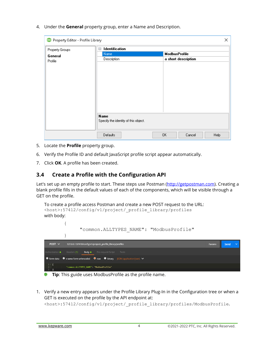4. Under the **General** property group, enter a Name and Description.

| ex Property Editor - Profile Library |                                      |                      |                     | ×    |
|--------------------------------------|--------------------------------------|----------------------|---------------------|------|
| Property Groups                      | Identification<br>Ξ                  |                      |                     |      |
| General                              | Name                                 | <b>ModbusProfile</b> |                     |      |
| Profile                              | Description                          |                      | a short description |      |
|                                      |                                      |                      |                     |      |
|                                      |                                      |                      |                     |      |
|                                      |                                      |                      |                     |      |
|                                      |                                      |                      |                     |      |
|                                      |                                      |                      |                     |      |
|                                      |                                      |                      |                     |      |
|                                      |                                      |                      |                     |      |
|                                      |                                      |                      |                     |      |
|                                      |                                      |                      |                     |      |
|                                      | <b>Name</b>                          |                      |                     |      |
|                                      | Specify the identity of this object. |                      |                     |      |
|                                      |                                      |                      |                     |      |
|                                      | Defaults                             | 0K                   | Cancel              | Help |

- 5. Locate the **Profile** property group.
- 6. Verify the Profile ID and default JavaScript profile script appear automatically.
- 7. Click **OK**. A profile has been created.

 $\mathfrak{g}$ 

## <span id="page-5-0"></span>**3.4 Create a Profile with the Configuration API**

Let's set up an empty profile to start. These steps use Postman [\(http://getpostman.com\)](http://getpostman.com/). Creating a blank profile fills in the default values of each of the components, which will be visible through a GET on the profile.

```
To create a profile access Postman and create a new POST request to the URL:
<host>:57412/config/v1/project/_profile_library/profiles
with body:
        { 
                "common.ALLTYPES_NAME": "ModbusProfile"
```

| POST $\vee$     | 127.0.0.1:57418/config/v1/project/_profile_library/profiles                                                                    | Params | Send |  |
|-----------------|--------------------------------------------------------------------------------------------------------------------------------|--------|------|--|
| Authorization ● | Body $\bullet$<br>Headers (1)<br>Pre-request Script Tests                                                                      |        |      |  |
|                 | $\bullet$ form-data $\bullet$ x-www-form-urlencoded $\bullet$ raw $\bullet$ binary $\bullet$ JSON (application/json) $\bullet$ |        |      |  |
| $1 - 1$         | "common.ALLTYPES NAME": "ModbusProfile"                                                                                        |        |      |  |

**Tip**: This guide uses ModbusProfile as the profile name.

1. Verify a new entry appears under the Profile Library Plug-In in the Configuration tree or when a GET is executed on the profile by the API endpoint at:

<host>:57412/config/v1/project/\_profile\_library/profiles/ModbusProfile.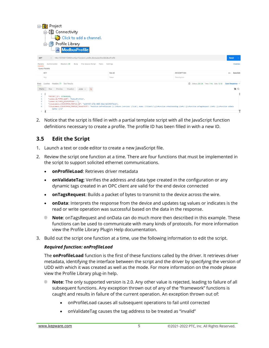| Project<br>糠<br>□ 【盟 Connectivity<br>Click to add a channel.<br>Profile Library<br><b>Js</b> ModbusProfile<br>:                                                                                                                                                                        |                                                                                                                                                                                                              |                                                                              |
|----------------------------------------------------------------------------------------------------------------------------------------------------------------------------------------------------------------------------------------------------------------------------------------|--------------------------------------------------------------------------------------------------------------------------------------------------------------------------------------------------------------|------------------------------------------------------------------------------|
| v http://127.0.0.1:57412/config/v1/project/_profile_library/profiles/ModbusProfile.<br>GET                                                                                                                                                                                             |                                                                                                                                                                                                              | <b>Send</b>                                                                  |
| Headers (9)<br>Pre-request Script<br>Authorization<br>Body<br>Tests<br>Params<br>Query Params                                                                                                                                                                                          | Settings                                                                                                                                                                                                     | <b>Cookies</b>                                                               |
| <b>KEY</b>                                                                                                                                                                                                                                                                             | VALUE                                                                                                                                                                                                        | <b>DESCRIPTION</b><br><b>Bulk Edit</b><br>000                                |
| Key                                                                                                                                                                                                                                                                                    | Value                                                                                                                                                                                                        | Description                                                                  |
| Cookies Headers (7) Test Results<br>Body<br>Preview<br>Visualize<br>Pretty<br>Raw<br>$JSON \sim$<br>$\overline{z}$                                                                                                                                                                     |                                                                                                                                                                                                              | ⊕<br>Status: 200 OK Time: 7 ms Size: 721 B Save Response v<br>$\blacksquare$ |
| $\mathbf{1}$<br>"PROJECT ID": 3570028298,<br>$\overline{2}$<br>"common.ALLTYPES_NAME": "ModbusProfile",<br>3<br>"common.ALLTYPES_DESCRIPTION": "",<br>Δ<br>"libudcommon.LIBUDCOMMON_PROFILE_ID": "bd20f897-6702-4805-88a6-4a52f8471c2b",<br>к<br>6<br>$(info)$ {}\n"<br>$\overline{7}$ | "libudcommon.LIBUDCOMMON_PROFILE_JAVASCRIPT": "function onProfileLoad () {return {version: \"2.0\", mode: \"Client\"};}\nfunction onValidateTag (info) {}\nfunction onTagsRequest (info) {}\nfunction onData |                                                                              |

2. Notice that the script is filled in with a partial template script with all the JavaScript function definitions necessary to create a profile. The profile ID has been filled in with a new ID.

## <span id="page-6-0"></span>**3.5 Edit the Script**

- 1. Launch a text or code editor to create a new JavaScript file.
- 2. Review the script one function at a time. There are four functions that must be implemented in the script to support solicited ethernet communications.
	- **onProfileLoad**: Retrieves driver metadata
	- **onValidateTag**: Verifies the address and data type created in the configuration or any dynamic tags created in an OPC client are valid for the end device connected
	- **onTagsRequest**: Builds a packet of bytes to transmit to the device across the wire.
	- **onData**: Interprets the response from the device and updates tag values or indicates is the read or write operation was successful based on the data in the response.
	- **Note:** onTagsRequest and onData can do much more then described in this example. These functions can be used to communicate with many kinds of protocols. For more information view the Profile Library Plugin Help documentation.
- 3. Build out the script one function at a time, use the following information to edit the script.

#### *Required function: onProfileLoad*

The **onProfileLoad** function is the first of these functions called by the driver. It retrieves driver metadata, identifying the interface between the script and the driver by specifying the version of UDD with which it was created as well as the mode. For more information on the mode please view the Profile Library plug-in help.

- **Note**: The only supported version is 2.0. Any other value is rejected, leading to failure of all subsequent functions. Any exception thrown out of any of the "framework" functions is caught and results in failure of the current operation. An exception thrown out of:
	- onProfileLoad causes all subsequent operations to fail until corrected
	- onValidateTag causes the tag address to be treated as "invalid"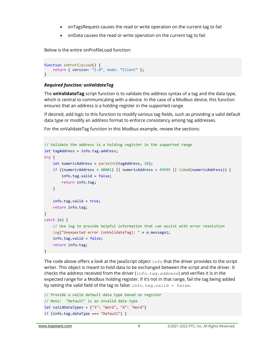- onTagsRequest causes the read or write operation on the current tag to fail
- onData causes the read or write operation on the current tag to fail

Below is the entire onProfileLoad function:

```
function onProfileLoad() {
   return { version: "2.0", mode: "Client" };
}
```
#### *Required function: onValidateTag*

The **onValidateTag** script function is to validate the address syntax of a tag and the data type, which is central to communicating with a device. In the case of a Modbus device, this function ensures that an address is a holding register in the supported range.

If desired, add logic to this function to modify various tag fields, such as providing a valid default data type or modify an address format to enforce consistency among tag addresses.

For the onValidateTag function in this Modbus example, review the sections:

```
// Validate the address is a holding register in the supported range
let tagAddress = info.tag.address;
try {
     let numericAddress = parseInt(tagAddress, 10);
     if ((numericAddress < 40001) || numericAddress > 49999 || isNaN(numericAddress)) {
         info.tag.valid = false;
         return info.tag;
     }
     info.tag.valid = true;
     return info.tag;
}
catch (e) {
     // Use log to provide helpful information that can assist with error resolution
     log("Unexpected error (onValidateTag): " + e.message);
     info.tag.valid = false;
     return info.tag;
}
```
The code above offers a look at the JavaScript object info that the driver provides to the script writer. This object is meant to hold data to be exchanged between the script and the driver. It checks the address received from the driver (info.tag.address) and verifies it is in the expected range for a Modbus holding register. If it's not in that range, fail the tag being added by setting the valid field of the tag to false:  $info.taq.valid = false$ .

```
// Provide a valid default data type based on register
// Note: "Default" is an invalid data type
let validDataTypes = {''3":} "Word", "4": "Word"}
if (info.tag.dataType === "Default") {
```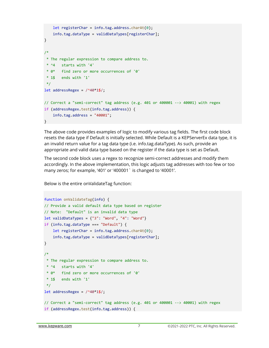```
 let registerChar = info.tag.address.charAt(0);
     info.tag.dataType = validDataTypes[registerChar];
}
/*
 * The regular expression to compare address to.
 * ^4 starts with '4'
 * 0* find zero or more occurrences of '0'
 * 1$ ends with '1' 
 */
let addressRegex = /^440*1\frac{1}{5};
// Correct a "semi-correct" tag address (e.g. 401 or 400001 --> 40001) with regex
if (addressRegex.test(info.tag.address)) {
    info.tag.address = "40001";}
```
The above code provides examples of logic to modify various tag fields. The first code block resets the data type if Default is initially selected. While Default is a KEPServerEx data type, it is an invalid return value for a tag data type (i.e. info.tag.dataType). As such, provide an appropriate and valid data type based on the register if the data type is set as Default.

The second code block uses a regex to recognize semi-correct addresses and modify them accordingly. In the above implementation, this logic adjusts tag addresses with too few or too many zeros; for example, '401' or '400001` is changed to '40001'.

Below is the entire onValidateTag function:

```
function onValidateTag(info) {
// Provide a valid default data type based on register
// Note: "Default" is an invalid data type
let validDataTypes = {''3":} "Word", "4": "Word"}
if (info.tag.dataType === "Default") {
     let registerChar = info.tag.address.charAt(0);
     info.tag.dataType = validDataTypes[registerChar];
}
/*
 * The regular expression to compare address to.
 * ^4 starts with '4'
 * 0* find zero or more occurrences of '0'
 * 1$ ends with '1' 
 */
let addressRegex = /^440*1\frac{1}{5};
// Correct a "semi-correct" tag address (e.g. 401 or 400001 --> 40001) with regex
if (addressRegex.test(info.tag.address)) {
```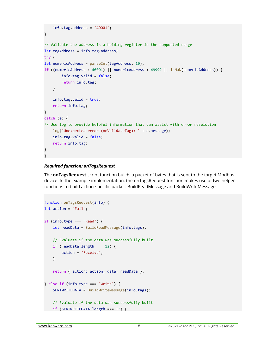```
info.tag.address = "40001";}
// Validate the address is a holding register in the supported range
let tagAddress = info.tag.address;
try {
let numericAddress = parseInt(tagAddress, 10);
if ((numericAddress < 40001) || numericAddress > 49999 || isNaN(numericAddress)) {
         info.tag.valid = false;
         return info.tag;
     }
     info.tag.valid = true;
     return info.tag;
}
catch (e) {
// Use log to provide helpful information that can assist with error resolution
     log("Unexpected error (onValidateTag): " + e.message);
     info.tag.valid = false;
     return info.tag;
}
}
```
#### *Required function: onTagsRequest*

The **onTagsRequest** script function builds a packet of bytes that is sent to the target Modbus device. In the example implementation, the onTagsRequest function makes use of two helper functions to build action-specific packet: BuildReadMessage and BuildWriteMessage:

```
function onTagsRequest(info) {
let action = "Fail";
if (info.type === "Read") {
     let readData = BuildReadMessage(info.tags);
     // Evaluate if the data was successfully built
     if (readData.length === 12) {
         action = "Receive";
     }
     return { action: action, data: readData };
} else if (info.type === "Write") {
    SENTWRITEDATA = BuildWriteMessage(info.tags);
     // Evaluate if the data was successfully built
     if (SENTWRITEDATA.length === 12) {
```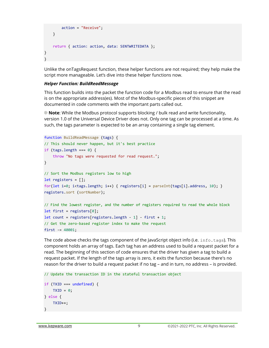```
 action = "Receive";
     }
     return { action: action, data: SENTWRITEDATA };
}
}
```
Unlike the onTagsRequest function, these helper functions are not required; they help make the script more manageable. Let's dive into these helper functions now.

#### *Helper Function: BuildReadMessage*

This function builds into the packet the function code for a Modbus read to ensure that the read is on the appropriate address(es). Most of the Modbus-specific pieces of this snippet are documented in code comments with the important parts called out.

**Note**: While the Modbus protocol supports blocking / bulk read and write functionality, version 1.0 of the Universal Device Driver does not. Only one tag can be processed at a time. As such, the tags parameter is expected to be an array containing a single tag element.

```
function BuildReadMessage (tags) {
// This should never happen, but it's best practice
if (tags.length === 0) {
     throw "No tags were requested for read request.";
}
// Sort the Modbus registers low to high
let registers = [];
for(let i=0; i<tags.length; i++) { registers[i] = parseInt(tags[i].address, 10); }
registers.sort (sortNumber);
// Find the lowest register, and the number of registers required to read the whole block
let first = registers[0];
let count = registers[registers.length - 1] - first + 1;
// Get the zero-based register index to make the request
first = 40001;
```
The code above checks the tags component of the JavaScript object info (i.e.  $info$ .  $taq$ s). This component holds an array of tags. Each tag has an address used to build a request packet for a read. The beginning of this section of code ensures that the driver has given a tag to build a request packet. If the length of the tags array is zero, it exits the function because there's no reason for the driver to build a request packet if no tag – and in turn, no address – is provided.

```
// Update the transaction ID in the stateful transaction object
if (TXID === undefined) {
    TXID = 0;
} else {
     TXID++;
}
```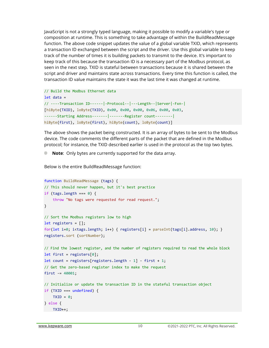JavaScript is not a strongly typed language, making it possible to modify a variable's type or composition at runtime. This is something to take advantage of within the BuildReadMessage function. The above code snippet updates the value of a global variable TXID, which represents a transaction ID exchanged between the script and the driver. Use this global variable to keep track of the number of times it is building packets to transmit to the device. It's important to keep track of this because the transaction ID is a necessary part of the Modbus protocol, as seen in the next step. TXID is stateful between transactions because it is shared between the script and driver and maintains state across transactions. Every time this function is called, the transaction ID value maintains the state it was the last time it was changed at runtime.

```
// Build the Modbus Ethernet data
let data =
// ----Transaction ID------|-Protocol--|---Length--|Server|-Fxn-|
[hiByte(TXID), loByte(TXID), 0x00, 0x00, 0x00, 0x06, 0x00, 0x03,
------Starting Address-------|-------Register count--------|
hiByte(first), loByte(first), hiByte(count), loByte(count)]
```
The above shows the packet being constructed. It is an array of bytes to be sent to the Modbus device. The code comments the different parts of the packet that are defined in the Modbus protocol; for instance, the TXID described earlier is used in the protocol as the top two bytes.

**Note**: Only bytes are currently supported for the data array.

Below is the entire BuildReadMessage function:

```
function BuildReadMessage (tags) {
// This should never happen, but it's best practice
if (tags.length === 0) {
     throw "No tags were requested for read request.";
}
// Sort the Modbus registers low to high
let registers = [];
for(let i=0; i<tags.length; i++) { registers[i] = parseInt(tags[i].address, 10); }
registers.sort (sortNumber);
// Find the lowest register, and the number of registers required to read the whole block
let first = registers[0];
let count = registers[registers.length - 1] - first + 1;
// Get the zero-based register index to make the request
first = 40001;
// Initialize or update the transaction ID in the stateful transaction object
if (TXID === undefined) {
    TXID = 0;} else {
    TXID++;
```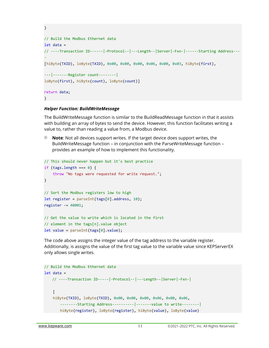```
}
// Build the Modbus Ethernet data
let data =
// ----Transaction ID------|-Protocol--|---Length--|Server|-Fxn-|------Starting Address---
-
[hiByte(TXID), loByte(TXID), 0x00, 0x00, 0x00, 0x06, 0x00, 0x03, hiByte(first),
---|-------Register count--------|
loByte(first), hiByte(count), loByte(count)]
return data;
}
```
#### *Helper Function: BuildWriteMessage*

The BuildWriteMessage function is similar to the BuildReadMessage function in that it assists with building an array of bytes to send the device. However, this function facilitates writing a value to, rather than reading a value from, a Modbus device.

**Note**: Not all devices support writes. If the target device does support writes, the BuildWriteMessage function – in conjunction with the ParseWriteMessage function – provides an example of how to implement this functionality.

```
// This should never happen but it's best practice
if (tags.length === 0) {
     throw "No tags were requested for write request.";
}
// Sort the Modbus registers low to high
let register = parseInt(tags[0].address, 10);
register -= 40001;
// Get the value to write which is located in the first
// element in the tags[n].value object
let value = parseInt(tags[0].value);
```
The code above assigns the integer value of the tag address to the variable register. Additionally, is assigns the value of the first tag value to the variable value since KEPServerEX only allows single writes.

```
// Build the Modbus Ethernet data
let data =
   // ----Transaction ID-----|-Protocol--|---Length--|Server|-Fxn-|
    \Gamma hiByte(TXID), loByte(TXID), 0x00, 0x00, 0x00, 0x06, 0x00, 0x06,
       --------Starting Address----------|-------value to write--------|
       hiByte(register), loByte(register), hiByte(value), loByte(value)
```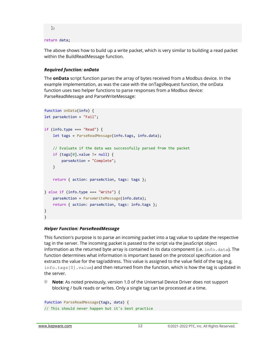```
 ];
```
#### return data;

The above shows how to build up a write packet, which is very similar to building a read packet within the BuildReadMessage function.

#### *Required function: onData*

The **onData** script function parses the array of bytes received from a Modbus device. In the example implementation, as was the case with the onTagsRequest function, the onData function uses two helper functions to parse responses from a Modbus device: ParseReadMessage and ParseWriteMessage:

```
function onData(info) {
let parseAction = "Fail";
if (info.type === "Read") {
     let tags = ParseReadMessage(info.tags, info.data);
     // Evaluate if the data was successfully parsed from the packet
     if (tags[0].value != null) {
         parseAction = "Complete";
     }
     return { action: parseAction, tags: tags };
} else if (info.type === "Write") {
     parseAction = ParseWriteMessage(info.data);
     return { action: parseAction, tags: info.tags };
}
}
```
#### *Helper Function: ParseReadMessage*

This function's purpose is to parse an incoming packet into a tag value to update the respective tag in the server. The incoming packet is passed to the script via the JavaScript object information as the returned byte array is contained in its data component (i.e.  $info.data)$ . The function determines what information is important based on the protocol specification and extracts the value for the tag/address. This value is assigned to the value field of the tag (e.g. info.tags[0].value) and then returned from the function, which is how the tag is updated in the server.

**Note:** As noted previously, version 1.0 of the Universal Device Driver does not support blocking / bulk reads or writes. Only a single tag can be processed at a time.

```
function ParseReadMessage(tags, data) {
// This should never happen but it's best practice
```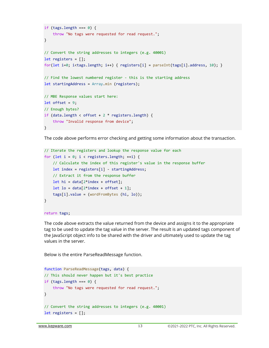```
if (tags.length === \theta) {
     throw "No tags were requested for read request.";
}
// Convert the string addresses to integers (e.g. 40001)
let registers = [];
for(let i=0; i<tags.length; i++) { registers[i] = parseInt(tags[i].address, 10); }
// Find the lowest numbered register - this is the starting address 
let startingAddress = Array.min (registers);
// MBE Response values start here:
let offset = 9;
// Enough bytes?
if (data.length < offset + 2 * registers.length) {
     throw "Invalid response from device";
}
```
The code above performs error checking and getting some information about the transaction.

```
// Iterate the registers and lookup the response value for each
for (let i = 0; i < registers.length; ++i) {
     // Calculate the index of this register's value in the response buffer
     let index = registers[i] - startingAddress;
     // Extract it from the response buffer
    let hi = data[2*index + offset];
    let \text{lo} = \text{data}[2^* \text{index} + \text{offset} + 1]; tags[i].value = (wordFromBytes (hi, lo));
}
```
#### return tags;

The code above extracts the value returned from the device and assigns it to the appropriate tag to be used to update the tag value in the server. The result is an updated tags component of the JavaScript object info to be shared with the driver and ultimately used to update the tag values in the server.

Below is the entire ParseReadMessage function.

```
function ParseReadMessage(tags, data) {
// This should never happen but it's best practice
if (tags.length === 0) {
     throw "No tags were requested for read request.";
}
// Convert the string addresses to integers (e.g. 40001)
let registers = [];
```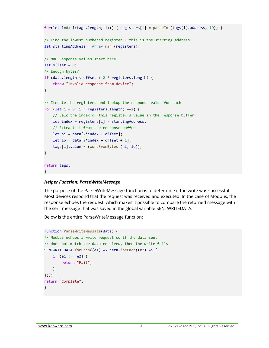```
for(let i=0; i<tags.length; i++) { registers[i] = parseInt(tags[i].address, 10); }
// Find the lowest numbered register - this is the starting address 
let startingAddress = Array.min (registers);
// MBE Response values start here:
let offset = 9;
// Enough bytes?
if (data.length < offset + 2 * registers.length) {
     throw "Invalid response from device";
}
// Iterate the registers and lookup the response value for each
for (let i = 0; i < registers.length; ++i) {
     // Calc the index of this register's value in the response buffer
     let index = registers[i] - startingAddress;
     // Extract it from the response buffer
    let hi = data[2*index + offset];
    let lo = data[2*index + offset + 1];
     tags[i].value = (wordFromBytes (hi, lo));
}
return tags;
}
```
#### *Helper Function: ParseWriteMessage*

The purpose of the ParseWriteMessage function is to determine if the write was successful. Most devices respond that the request was received and executed. In the case of Modbus, the response echoes the request, which makes it possible to compare the returned message with the sent message that was saved in the global variable SENTWRITEDATA.

Below is the entire ParseWriteMessage function:

```
function ParseWriteMessage(data) {
// Modbus echoes a write request so if the data sent
// does not match the data received, then the write fails
SENTWRITEDATA.forEach((e1) => data.forEach((e2) => {
     if (e1 !== e2) {
         return "Fail";
     }
}));
return "Complete";
}
```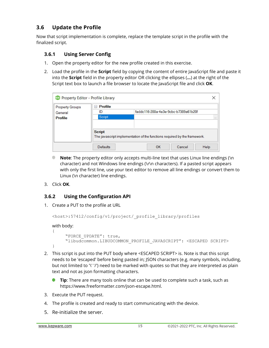## <span id="page-16-0"></span>**3.6 Update the Profile**

Now that script implementation is complete, replace the template script in the profile with the finalized script.

### <span id="page-16-1"></span>**3.6.1 Using Server Config**

- 1. Open the property editor for the new profile created in this exercise.
- 2. Load the profile in the **Script** field by copying the content of entire JavaScript file and paste it into the **Script** field in the property editor OR clicking the ellipses (**…**) at the right of the Script text box to launch a file browser to locate the JavaScript file and click **OK**.

| ex Property Editor - Profile Library |                                         |                                                                                 |        |          |
|--------------------------------------|-----------------------------------------|---------------------------------------------------------------------------------|--------|----------|
| <b>Property Groups</b>               | Profile<br>$\qquad \qquad \blacksquare$ |                                                                                 |        |          |
| General                              | ID                                      | faddc116-288a-4e3e-9cbc-b7389a61b20f                                            |        |          |
| <b>Profile</b>                       | Script                                  |                                                                                 |        | $\cdots$ |
|                                      | <b>Script</b><br><b>Defaults</b>        | The javascript implementation of the functions required by the framework.<br>OK | Cancel | Help     |

- **Note**: The property editor only accepts multi-line text that uses Linux line endings (\n character) and not Windows line endings (\r\n characters). If a pasted script appears with only the first line, use your text editor to remove all line endings or convert them to Linux (\n character) line endings.
- 3. Click **OK**.

#### <span id="page-16-2"></span>**3.6.2 Using the Configuration API**

1. Create a PUT to the profile at URL

```
<host>:57412/config/v1/project/_profile_library/profiles
```
#### with body:

```
{
      "FORCE_UPDATE": true,
      "libudcommon.LIBUDCOMMON_PROFILE_JAVASCRIPT": <ESCAPED SCRIPT>
}
```
- 2. This script is put into the PUT body where <ESCAPED SCRIPT> is. Note is that this script needs to be 'escaped' before being pasted in; JSON characters (e.g. many symbols, including, but not limited to '\' '/') need to be marked with quotes so that they are interpreted as plain text and not as json formatting characters.
	- a b **Tip**: There are many tools online that can be used to complete such a task, such as https://www.freeformatter.com/json-escape.html.
- 3. Execute the PUT request.
- 4. The profile is created and ready to start communicating with the device.
- 5. Re-initialize the server.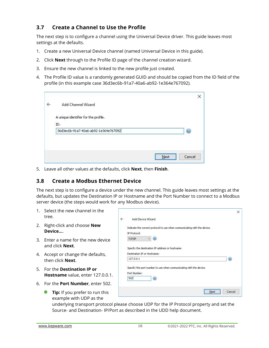## <span id="page-17-0"></span>**3.7 Create a Channel to Use the Profile**

The next step is to configure a channel using the Universal Device driver. This guide leaves most settings at the defaults.

- 1. Create a new Universal Device channel (named Universal Device in this guide).
- 2. Click **Next** through to the Profile ID page of the channel creation wizard.
- 3. Ensure the new channel is linked to the new profile just created.
- 4. The Profile ID value is a randomly generated GUID and should be copied from the ID field of the profile (in this example case 36d3ec6b-91a7-40a6-ab92-1e364e767092).

| Add Channel Wizard                                       | × |
|----------------------------------------------------------|---|
| A unique identifier for the profile.                     |   |
| ID:<br>36d3ec6b-91a7-40a6-ab92-1e364e767092<br>$\bullet$ |   |
| Cancel<br>Next                                           |   |

5. Leave all other values at the defaults, click **Next**, then **Finish**.

## <span id="page-17-1"></span>**3.8 Create a Modbus Ethernet Device**

The next step is to configure a device under the new channel. This guide leaves most settings at the defaults, but updates the Destination IP or Hostname and the Port Number to connect to a Modbus server device (the steps would work for any Modbus device).

- 1. Select the new channel in the tree.
- 2. Right-click and choose **New Device…**.
- 3. Enter a name for the new device and click **Next**.
- 4. Accept or change the defaults, then click **Next**.
- 5. For the **Destination IP or Hostname** value, enter 127.0.0.1.
- 6. For the **Port Number**, enter 502.
	- **Tip:** If you prefer to run this example with UDP as the

| Indicate the correct protocol to use when communicating with the device. |   |
|--------------------------------------------------------------------------|---|
|                                                                          |   |
| IP Protocol:                                                             |   |
| TCP/IP                                                                   |   |
|                                                                          |   |
| Specify the destination IP address or hostname.                          |   |
| Destination IP or Hostname:                                              |   |
| 127,0,0,1                                                                | Q |
|                                                                          |   |
| Specify the port number to use when communicating with the device.       |   |
| Port Number:                                                             |   |
|                                                                          |   |
| 502<br>$\odot$                                                           |   |

underlying transport protocol please choose UDP for the IP Protocol property and set the Source- and Destination- IP/Port as described in the UDD help document.

 $\overline{\phantom{a}}$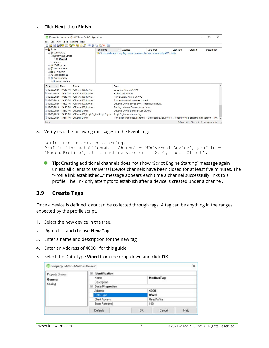#### 7. Click **Next**, then **Finish**.

| <b>Project</b>                                                                                                                            |                                                                      | BEBBBBGGGF 7842XE<br><b>Tag Name</b>                          | Address                                                                                                                        | Data Type | Scan Rate | Scaling | <b>Description</b> |  |
|-------------------------------------------------------------------------------------------------------------------------------------------|----------------------------------------------------------------------|---------------------------------------------------------------|--------------------------------------------------------------------------------------------------------------------------------|-----------|-----------|---------|--------------------|--|
| 白(H) Connectivity<br>§ Aliases<br><b>EFM</b> Exporter<br><b>S</b> IDF for Splunk<br>崇 IoT Gateway<br>由 Local Historian<br>Profile Library | <b>Device</b> Universal Device<br>Device1<br><b>Is ModbusProfile</b> |                                                               | <b>V</b> Click to add a static tag. Tags are not required, but are browsable by OPC clients.                                   |           |           |         |                    |  |
|                                                                                                                                           |                                                                      |                                                               | Event                                                                                                                          |           |           |         |                    |  |
| Date                                                                                                                                      | Time                                                                 | Source                                                        |                                                                                                                                |           |           |         |                    |  |
|                                                                                                                                           |                                                                      | (i) 12/30/2020 1:16:10 PM KEPServerEX\Runtime                 | Scheduler Plug-in V6.7.0.0                                                                                                     |           |           |         |                    |  |
|                                                                                                                                           |                                                                      | 12/30/2020 1:16:10 PM KEPServerEX\Runtime                     | IoT Gateway V6.7.0.0                                                                                                           |           |           |         |                    |  |
|                                                                                                                                           |                                                                      | 12/30/2020 1:16:10 PM KEPServerEX\Runtime                     | Profile Library Plug-in V6.7.0.0                                                                                               |           |           |         |                    |  |
|                                                                                                                                           |                                                                      | 12/30/2020 1:16:10 PM KEPServerEX\Runtime                     | Runtime re-initialization completed.                                                                                           |           |           |         |                    |  |
|                                                                                                                                           |                                                                      | 12/30/2020 1:18:02 PM KEPServerEX\Runtime                     | Universal Device device driver loaded successfully.                                                                            |           |           |         |                    |  |
|                                                                                                                                           |                                                                      | (i) 12/30/2020 1:18:40 PM KEPServerEX\Runtime                 | Starting Universal Device device driver.                                                                                       |           |           |         |                    |  |
|                                                                                                                                           |                                                                      | (i) 12/30/2020 1:18:40 PM Universal Device                    | Universal Device Device Driver 'V6.7.0.0'                                                                                      |           |           |         |                    |  |
|                                                                                                                                           |                                                                      | 12/30/2020 1:18:40 PM KEPServerEX\Script Engine Script Engine | Script Engine service starting.                                                                                                |           |           |         |                    |  |
|                                                                                                                                           |                                                                      | (i) 12/30/2020 1:18:41 PM Universal Device                    | Profile link established.   Channel = 'Universal Device', profile = 'ModbusProfile', state machine version = '1.0'. $\sqrt{ }$ |           |           |         |                    |  |

8. Verify that the following messages in the Event Log:

```
Script Engine service starting.
Profile link established. | Channel = 'Universal Device', profile = 
'ModbusProfile', state machine version = '2.0', mode='Client'.
```
**Tip:** Creating additional channels does not show "Script Engine Starting" message again unless all clients to Universal Device channels have been closed for at least five minutes. The "Profile link established…" message appears each time a channel successfully links to a profile. The link only attempts to establish after a device is created under a channel.

#### <span id="page-18-0"></span>**3.9 Create Tags**

Once a device is defined, data can be collected through tags. A tag can be anything in the ranges expected by the profile script.

- 1. Select the new device in the tree.
- 2. Right-click and choose **New Tag**.
- 3. Enter a name and description for the new tag
- 4. Enter an Address of 40001 for this guide.
- 5. Select the Data Type **Word** from the drop-down and click **OK**.

| Property Groups | Identification<br>Θ         |  |            |  |  |
|-----------------|-----------------------------|--|------------|--|--|
| General         | Name                        |  | Modbus Tag |  |  |
| Scaling         | Description                 |  |            |  |  |
|                 | <b>Data Properties</b><br>⊟ |  |            |  |  |
|                 | Address                     |  | 40001      |  |  |
|                 | Data Type                   |  | Word       |  |  |
|                 | <b>Client Access</b>        |  | Read/Write |  |  |
|                 | Scan Rate [ms]              |  | 100        |  |  |